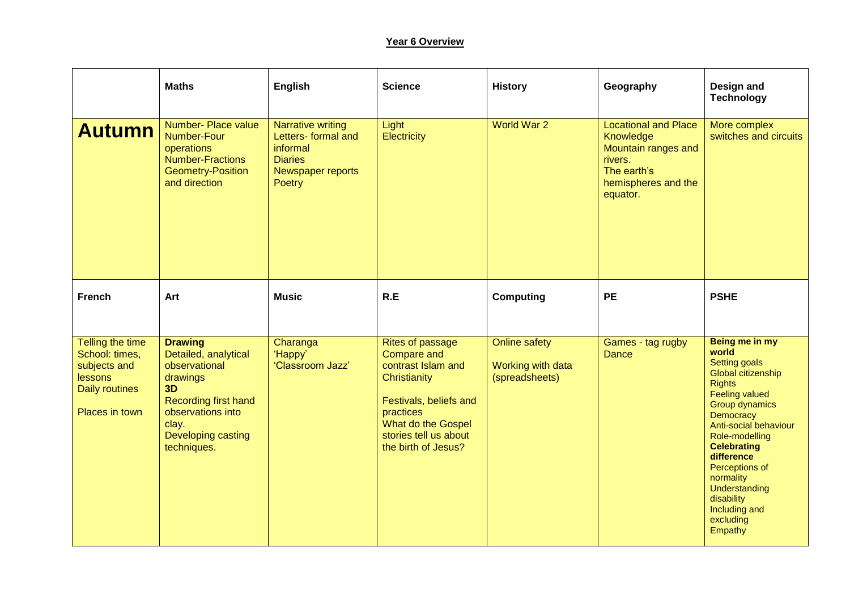## **Year 6 Overview**

|                                                                                                          | <b>Maths</b>                                                                                                                                                                | English                                                                                                      | <b>Science</b>                                                                                                                                                                                   | <b>History</b>                                              | Geography                                                                                                                    | Design and<br><b>Technology</b>                                                                                                                                                                                                                                                                                                      |
|----------------------------------------------------------------------------------------------------------|-----------------------------------------------------------------------------------------------------------------------------------------------------------------------------|--------------------------------------------------------------------------------------------------------------|--------------------------------------------------------------------------------------------------------------------------------------------------------------------------------------------------|-------------------------------------------------------------|------------------------------------------------------------------------------------------------------------------------------|--------------------------------------------------------------------------------------------------------------------------------------------------------------------------------------------------------------------------------------------------------------------------------------------------------------------------------------|
| <b>Autumn</b>                                                                                            | Number- Place value<br><b>Number-Four</b><br>operations<br><b>Number-Fractions</b><br><b>Geometry-Position</b><br>and direction                                             | <b>Narrative writing</b><br>Letters- formal and<br>informal<br><b>Diaries</b><br>Newspaper reports<br>Poetry | Light<br>Electricity                                                                                                                                                                             | World War 2                                                 | <b>Locational and Place</b><br>Knowledge<br>Mountain ranges and<br>rivers.<br>The earth's<br>hemispheres and the<br>equator. | More complex<br>switches and circuits                                                                                                                                                                                                                                                                                                |
| <b>French</b>                                                                                            | Art                                                                                                                                                                         | <b>Music</b>                                                                                                 | R.E                                                                                                                                                                                              | <b>Computing</b>                                            | <b>PE</b>                                                                                                                    | <b>PSHE</b>                                                                                                                                                                                                                                                                                                                          |
| Telling the time<br>School: times,<br>subjects and<br>lessons<br><b>Daily routines</b><br>Places in town | <b>Drawing</b><br>Detailed, analytical<br>observational<br>drawings<br>3D<br><b>Recording first hand</b><br>observations into<br>clay.<br>Developing casting<br>techniques. | Charanga<br>'Happy'<br>'Classroom Jazz'                                                                      | <b>Rites of passage</b><br><b>Compare and</b><br>contrast Islam and<br>Christianity<br>Festivals, beliefs and<br>practices<br>What do the Gospel<br>stories tell us about<br>the birth of Jesus? | <b>Online safety</b><br>Working with data<br>(spreadsheets) | Games - tag rugby<br><b>Dance</b>                                                                                            | Being me in my<br>world<br><b>Setting goals</b><br>Global citizenship<br><b>Rights</b><br><b>Feeling valued</b><br>Group dynamics<br>Democracy<br>Anti-social behaviour<br>Role-modelling<br><b>Celebrating</b><br>difference<br>Perceptions of<br>normality<br>Understanding<br>disability<br>Including and<br>excluding<br>Empathy |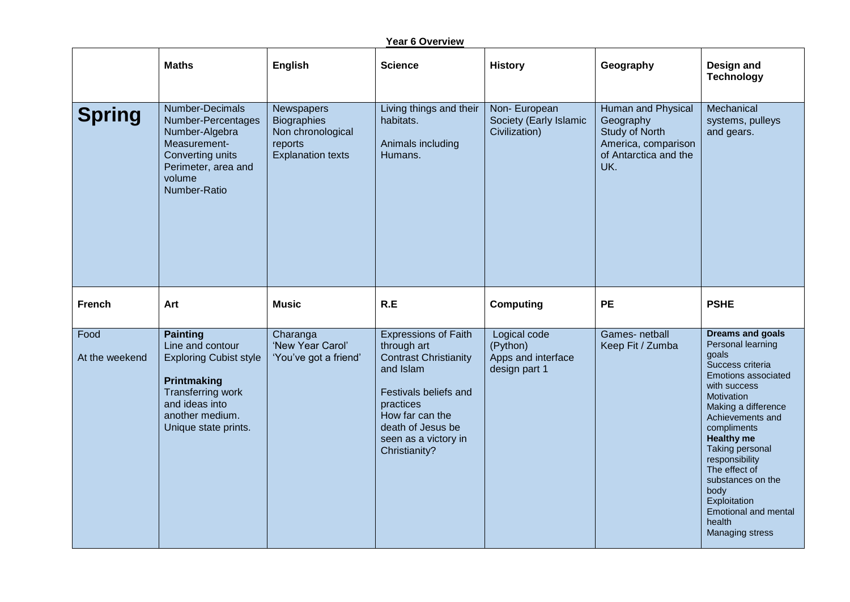| Year 6 Overview        |                                                                                                                                                                       |                                                                                              |                                                                                                                                                                                                                |                                                                 |                                                                                                          |                                                                                                                                                                                                                                                                                                                                                                              |  |
|------------------------|-----------------------------------------------------------------------------------------------------------------------------------------------------------------------|----------------------------------------------------------------------------------------------|----------------------------------------------------------------------------------------------------------------------------------------------------------------------------------------------------------------|-----------------------------------------------------------------|----------------------------------------------------------------------------------------------------------|------------------------------------------------------------------------------------------------------------------------------------------------------------------------------------------------------------------------------------------------------------------------------------------------------------------------------------------------------------------------------|--|
|                        | <b>Maths</b>                                                                                                                                                          | English                                                                                      | <b>Science</b>                                                                                                                                                                                                 | <b>History</b>                                                  | Geography                                                                                                | Design and<br><b>Technology</b>                                                                                                                                                                                                                                                                                                                                              |  |
| <b>Spring</b>          | Number-Decimals<br>Number-Percentages<br>Number-Algebra<br>Measurement-<br>Converting units<br>Perimeter, area and<br>volume<br>Number-Ratio                          | Newspapers<br><b>Biographies</b><br>Non chronological<br>reports<br><b>Explanation texts</b> | Living things and their<br>habitats.<br>Animals including<br>Humans.                                                                                                                                           | Non-European<br>Society (Early Islamic<br>Civilization)         | Human and Physical<br>Geography<br>Study of North<br>America, comparison<br>of Antarctica and the<br>UK. | Mechanical<br>systems, pulleys<br>and gears.                                                                                                                                                                                                                                                                                                                                 |  |
| <b>French</b>          | Art                                                                                                                                                                   | <b>Music</b>                                                                                 | R.E                                                                                                                                                                                                            | <b>Computing</b>                                                | <b>PE</b>                                                                                                | <b>PSHE</b>                                                                                                                                                                                                                                                                                                                                                                  |  |
| Food<br>At the weekend | <b>Painting</b><br>Line and contour<br><b>Exploring Cubist style</b><br>Printmaking<br>Transferring work<br>and ideas into<br>another medium.<br>Unique state prints. | Charanga<br>'New Year Carol'<br>'You've got a friend'                                        | <b>Expressions of Faith</b><br>through art<br><b>Contrast Christianity</b><br>and Islam<br>Festivals beliefs and<br>practices<br>How far can the<br>death of Jesus be<br>seen as a victory in<br>Christianity? | Logical code<br>(Python)<br>Apps and interface<br>design part 1 | Games- netball<br>Keep Fit / Zumba                                                                       | <b>Dreams and goals</b><br>Personal learning<br>goals<br>Success criteria<br>Emotions associated<br>with success<br>Motivation<br>Making a difference<br>Achievements and<br>compliments<br><b>Healthy me</b><br>Taking personal<br>responsibility<br>The effect of<br>substances on the<br>body<br>Exploitation<br>Emotional and mental<br>health<br><b>Managing stress</b> |  |